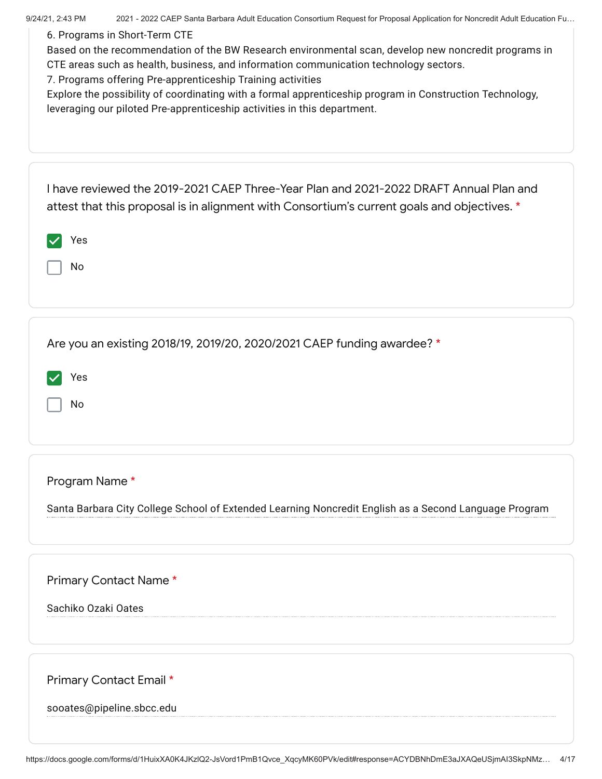| 9/24/21, 2:43 PM<br>2021 - 2022 CAEP Santa Barbara Adult Education Consortium Request for Proposal Application for Noncredit Adult Education Fu<br>6. Programs in Short-Term CTE<br>Based on the recommendation of the BW Research environmental scan, develop new noncredit programs in<br>CTE areas such as health, business, and information communication technology sectors.<br>7. Programs offering Pre-apprenticeship Training activities<br>Explore the possibility of coordinating with a formal apprenticeship program in Construction Technology,<br>leveraging our piloted Pre-apprenticeship activities in this department. |
|------------------------------------------------------------------------------------------------------------------------------------------------------------------------------------------------------------------------------------------------------------------------------------------------------------------------------------------------------------------------------------------------------------------------------------------------------------------------------------------------------------------------------------------------------------------------------------------------------------------------------------------|
| I have reviewed the 2019-2021 CAEP Three-Year Plan and 2021-2022 DRAFT Annual Plan and<br>attest that this proposal is in alignment with Consortium's current goals and objectives. *<br>Yes<br>No                                                                                                                                                                                                                                                                                                                                                                                                                                       |
| Are you an existing 2018/19, 2019/20, 2020/2021 CAEP funding awardee? *<br>Yes<br>No                                                                                                                                                                                                                                                                                                                                                                                                                                                                                                                                                     |
| Program Name*<br>Santa Barbara City College School of Extended Learning Noncredit English as a Second Language Program                                                                                                                                                                                                                                                                                                                                                                                                                                                                                                                   |
| Primary Contact Name*<br>Sachiko Ozaki Oates                                                                                                                                                                                                                                                                                                                                                                                                                                                                                                                                                                                             |
| Primary Contact Email *<br>sooates@pipeline.sbcc.edu                                                                                                                                                                                                                                                                                                                                                                                                                                                                                                                                                                                     |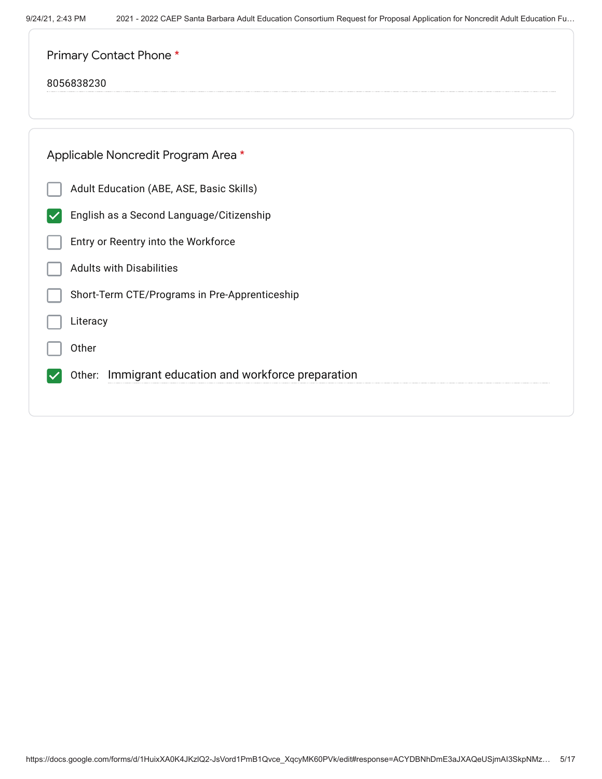| Primary Contact Phone *                              |
|------------------------------------------------------|
| 8056838230                                           |
|                                                      |
| Applicable Noncredit Program Area *                  |
| Adult Education (ABE, ASE, Basic Skills)             |
| English as a Second Language/Citizenship             |
| Entry or Reentry into the Workforce                  |
| <b>Adults with Disabilities</b>                      |
| Short-Term CTE/Programs in Pre-Apprenticeship        |
| Literacy                                             |
| Other                                                |
| Other: Immigrant education and workforce preparation |
|                                                      |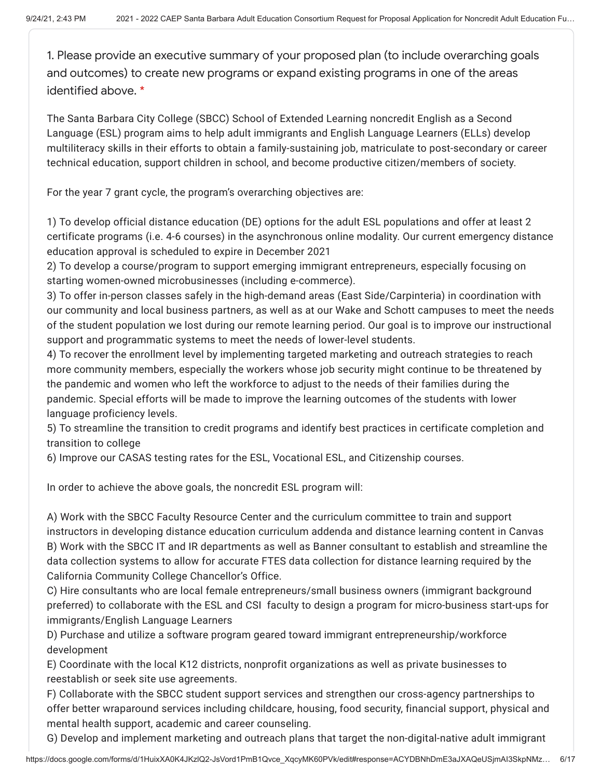1. Please provide an executive summary of your proposed plan (to include overarching goals and outcomes) to create new programs or expand existing programs in one of the areas identified above. \*

The Santa Barbara City College (SBCC) School of Extended Learning noncredit English as a Second Language (ESL) program aims to help adult immigrants and English Language Learners (ELLs) develop multiliteracy skills in their efforts to obtain a family-sustaining job, matriculate to post-secondary or career technical education, support children in school, and become productive citizen/members of society.

For the year 7 grant cycle, the program's overarching objectives are:

1) To develop official distance education (DE) options for the adult ESL populations and offer at least 2 certificate programs (i.e. 4-6 courses) in the asynchronous online modality. Our current emergency distance education approval is scheduled to expire in December 2021

2) To develop a course/program to support emerging immigrant entrepreneurs, especially focusing on starting women-owned microbusinesses (including e-commerce).

3) To offer in-person classes safely in the high-demand areas (East Side/Carpinteria) in coordination with our community and local business partners, as well as at our Wake and Schott campuses to meet the needs of the student population we lost during our remote learning period. Our goal is to improve our instructional support and programmatic systems to meet the needs of lower-level students.

4) To recover the enrollment level by implementing targeted marketing and outreach strategies to reach more community members, especially the workers whose job security might continue to be threatened by the pandemic and women who left the workforce to adjust to the needs of their families during the pandemic. Special efforts will be made to improve the learning outcomes of the students with lower language proficiency levels.

5) To streamline the transition to credit programs and identify best practices in certificate completion and transition to college

6) Improve our CASAS testing rates for the ESL, Vocational ESL, and Citizenship courses.

In order to achieve the above goals, the noncredit ESL program will:

A) Work with the SBCC Faculty Resource Center and the curriculum committee to train and support instructors in developing distance education curriculum addenda and distance learning content in Canvas B) Work with the SBCC IT and IR departments as well as Banner consultant to establish and streamline the data collection systems to allow for accurate FTES data collection for distance learning required by the California Community College Chancellor's Office.

C) Hire consultants who are local female entrepreneurs/small business owners (immigrant background preferred) to collaborate with the ESL and CSI faculty to design a program for micro-business start-ups for immigrants/English Language Learners

D) Purchase and utilize a software program geared toward immigrant entrepreneurship/workforce development

E) Coordinate with the local K12 districts, nonprofit organizations as well as private businesses to reestablish or seek site use agreements.

F) Collaborate with the SBCC student support services and strengthen our cross-agency partnerships to offer better wraparound services including childcare, housing, food security, financial support, physical and mental health support, academic and career counseling.

G) Develop and implement marketing and outreach plans that target the non-digital-native adult immigrant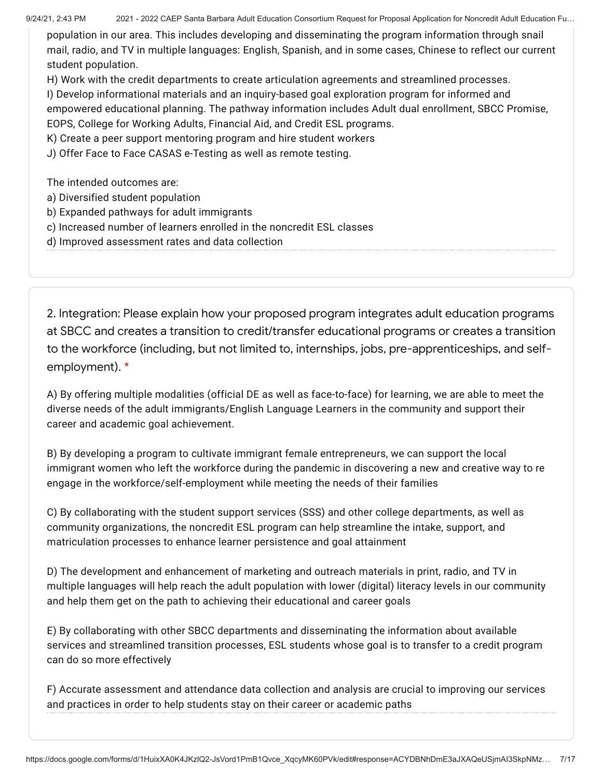population in our area. This includes developing and disseminating the program information through snail mail, radio, and TV in multiple languages: English, Spanish, and in some cases, Chinese to reflect our current student population.

H) Work with the credit departments to create articulation agreements and streamlined processes. I) Develop informational materials and an inquiry-based goal exploration program for informed and empowered educational planning. The pathway information includes Adult dual enrollment, SBCC Promise, EOPS, College for Working Adults, Financial Aid, and Credit ESL programs.

K) Create a peer support mentoring program and hire student workers

J) Offer Face to Face CASAS e-Testing as well as remote testing.

The intended outcomes are:

- a) Diversified student population
- b) Expanded pathways for adult immigrants
- c) Increased number of learners enrolled in the noncredit ESL classes
- d) Improved assessment rates and data collection

2. Integration: Please explain how your proposed program integrates adult education programs at SBCC and creates a transition to credit/transfer educational programs or creates a transition to the workforce (including, but not limited to, internships, jobs, pre-apprenticeships, and selfemployment). \*

A) By offering multiple modalities (official DE as well as face-to-face) for learning, we are able to meet the diverse needs of the adult immigrants/English Language Learners in the community and support their career and academic goal achievement.

B) By developing a program to cultivate immigrant female entrepreneurs, we can support the local immigrant women who left the workforce during the pandemic in discovering a new and creative way to re engage in the workforce/self-employment while meeting the needs of their families

C) By collaborating with the student support services (SSS) and other college departments, as well as community organizations, the noncredit ESL program can help streamline the intake, support, and matriculation processes to enhance learner persistence and goal attainment

D) The development and enhancement of marketing and outreach materials in print, radio, and TV in multiple languages will help reach the adult population with lower (digital) literacy levels in our community and help them get on the path to achieving their educational and career goals

E) By collaborating with other SBCC departments and disseminating the information about available services and streamlined transition processes, ESL students whose goal is to transfer to a credit program can do so more effectively

F) Accurate assessment and attendance data collection and analysis are crucial to improving our services and practices in order to help students stay on their career or academic paths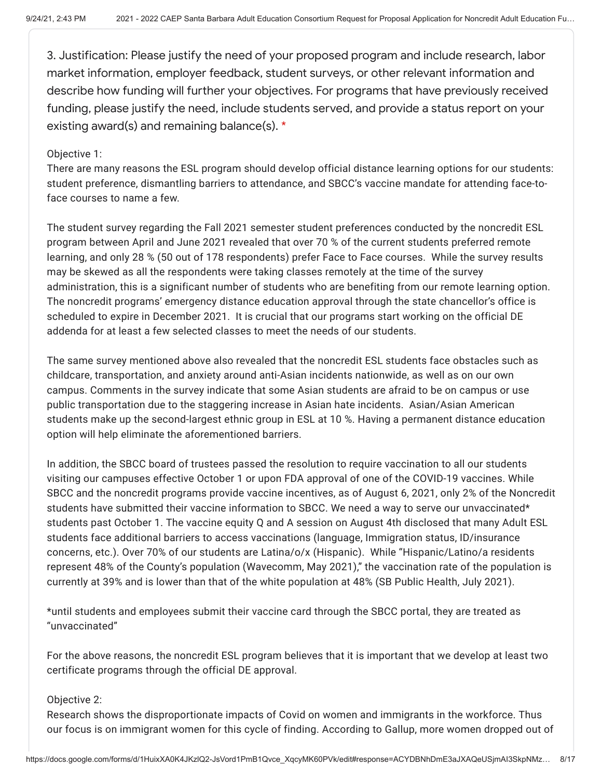3. Justification: Please justify the need of your proposed program and include research, labor market information, employer feedback, student surveys, or other relevant information and describe how funding will further your objectives. For programs that have previously received funding, please justify the need, include students served, and provide a status report on your existing award(s) and remaining balance(s). \*

## Objective 1:

There are many reasons the ESL program should develop official distance learning options for our students: student preference, dismantling barriers to attendance, and SBCC's vaccine mandate for attending face-toface courses to name a few.

The student survey regarding the Fall 2021 semester student preferences conducted by the noncredit ESL program between April and June 2021 revealed that over 70 % of the current students preferred remote learning, and only 28 % (50 out of 178 respondents) prefer Face to Face courses. While the survey results may be skewed as all the respondents were taking classes remotely at the time of the survey administration, this is a significant number of students who are benefiting from our remote learning option. The noncredit programs' emergency distance education approval through the state chancellor's office is scheduled to expire in December 2021. It is crucial that our programs start working on the official DE addenda for at least a few selected classes to meet the needs of our students.

The same survey mentioned above also revealed that the noncredit ESL students face obstacles such as childcare, transportation, and anxiety around anti-Asian incidents nationwide, as well as on our own campus. Comments in the survey indicate that some Asian students are afraid to be on campus or use public transportation due to the staggering increase in Asian hate incidents. Asian/Asian American students make up the second-largest ethnic group in ESL at 10 %. Having a permanent distance education option will help eliminate the aforementioned barriers.

In addition, the SBCC board of trustees passed the resolution to require vaccination to all our students visiting our campuses effective October 1 or upon FDA approval of one of the COVID-19 vaccines. While SBCC and the noncredit programs provide vaccine incentives, as of August 6, 2021, only 2% of the Noncredit students have submitted their vaccine information to SBCC. We need a way to serve our unvaccinated\* students past October 1. The vaccine equity Q and A session on August 4th disclosed that many Adult ESL students face additional barriers to access vaccinations (language, Immigration status, ID/insurance concerns, etc.). Over 70% of our students are Latina/o/x (Hispanic). While "Hispanic/Latino/a residents represent 48% of the County's population (Wavecomm, May 2021)," the vaccination rate of the population is currently at 39% and is lower than that of the white population at 48% (SB Public Health, July 2021).

\*until students and employees submit their vaccine card through the SBCC portal, they are treated as "unvaccinated"

For the above reasons, the noncredit ESL program believes that it is important that we develop at least two certificate programs through the official DE approval.

### Objective 2:

Research shows the disproportionate impacts of Covid on women and immigrants in the workforce. Thus our focus is on immigrant women for this cycle of finding. According to Gallup, more women dropped out of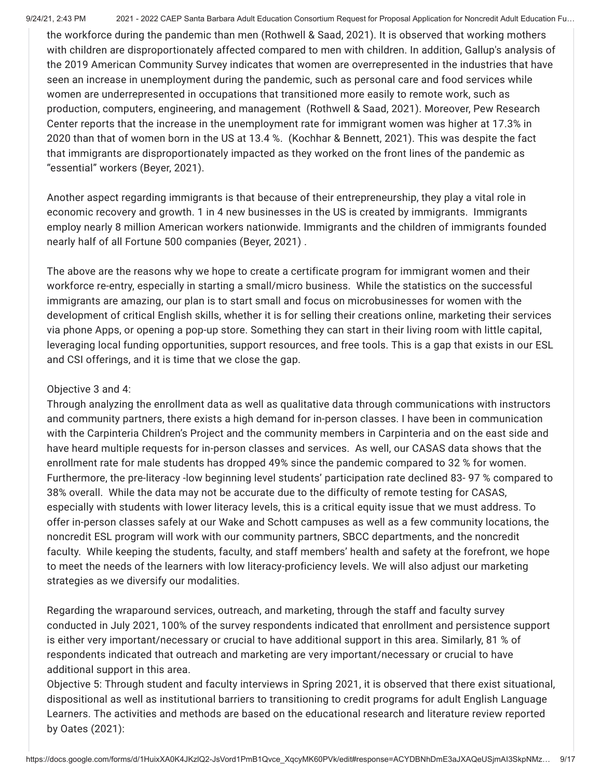the workforce during the pandemic than men (Rothwell & Saad, 2021). It is observed that working mothers with children are disproportionately affected compared to men with children. In addition, Gallup's analysis of the 2019 American Community Survey indicates that women are overrepresented in the industries that have seen an increase in unemployment during the pandemic, such as personal care and food services while women are underrepresented in occupations that transitioned more easily to remote work, such as production, computers, engineering, and management (Rothwell & Saad, 2021). Moreover, Pew Research Center reports that the increase in the unemployment rate for immigrant women was higher at 17.3% in 2020 than that of women born in the US at 13.4 %. (Kochhar & Bennett, 2021). This was despite the fact that immigrants are disproportionately impacted as they worked on the front lines of the pandemic as "essential" workers (Beyer, 2021).

Another aspect regarding immigrants is that because of their entrepreneurship, they play a vital role in economic recovery and growth. 1 in 4 new businesses in the US is created by immigrants. Immigrants employ nearly 8 million American workers nationwide. Immigrants and the children of immigrants founded nearly half of all Fortune 500 companies (Beyer, 2021) .

The above are the reasons why we hope to create a certificate program for immigrant women and their workforce re-entry, especially in starting a small/micro business. While the statistics on the successful immigrants are amazing, our plan is to start small and focus on microbusinesses for women with the development of critical English skills, whether it is for selling their creations online, marketing their services via phone Apps, or opening a pop-up store. Something they can start in their living room with little capital, leveraging local funding opportunities, support resources, and free tools. This is a gap that exists in our ESL and CSI offerings, and it is time that we close the gap.

## Objective 3 and 4:

Through analyzing the enrollment data as well as qualitative data through communications with instructors and community partners, there exists a high demand for in-person classes. I have been in communication with the Carpinteria Children's Project and the community members in Carpinteria and on the east side and have heard multiple requests for in-person classes and services. As well, our CASAS data shows that the enrollment rate for male students has dropped 49% since the pandemic compared to 32 % for women. Furthermore, the pre-literacy -low beginning level students' participation rate declined 83- 97 % compared to 38% overall. While the data may not be accurate due to the difficulty of remote testing for CASAS, especially with students with lower literacy levels, this is a critical equity issue that we must address. To offer in-person classes safely at our Wake and Schott campuses as well as a few community locations, the noncredit ESL program will work with our community partners, SBCC departments, and the noncredit faculty. While keeping the students, faculty, and staff members' health and safety at the forefront, we hope to meet the needs of the learners with low literacy-proficiency levels. We will also adjust our marketing strategies as we diversify our modalities.

Regarding the wraparound services, outreach, and marketing, through the staff and faculty survey conducted in July 2021, 100% of the survey respondents indicated that enrollment and persistence support is either very important/necessary or crucial to have additional support in this area. Similarly, 81 % of respondents indicated that outreach and marketing are very important/necessary or crucial to have additional support in this area.

Objective 5: Through student and faculty interviews in Spring 2021, it is observed that there exist situational, dispositional as well as institutional barriers to transitioning to credit programs for adult English Language Learners. The activities and methods are based on the educational research and literature review reported by Oates (2021):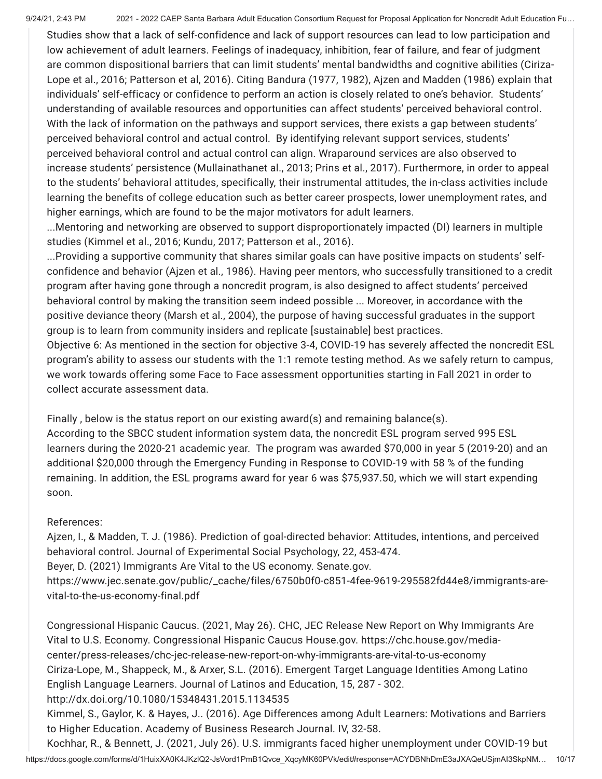Studies show that a lack of self-confidence and lack of support resources can lead to low participation and low achievement of adult learners. Feelings of inadequacy, inhibition, fear of failure, and fear of judgment are common dispositional barriers that can limit students' mental bandwidths and cognitive abilities (Ciriza-Lope et al., 2016; Patterson et al, 2016). Citing Bandura (1977, 1982), Ajzen and Madden (1986) explain that individuals' self-efficacy or confidence to perform an action is closely related to one's behavior. Students' understanding of available resources and opportunities can affect students' perceived behavioral control. With the lack of information on the pathways and support services, there exists a gap between students' perceived behavioral control and actual control. By identifying relevant support services, students' perceived behavioral control and actual control can align. Wraparound services are also observed to increase students' persistence (Mullainathanet al., 2013; Prins et al., 2017). Furthermore, in order to appeal to the students' behavioral attitudes, specifically, their instrumental attitudes, the in-class activities include learning the benefits of college education such as better career prospects, lower unemployment rates, and higher earnings, which are found to be the major motivators for adult learners.

...Mentoring and networking are observed to support disproportionately impacted (DI) learners in multiple studies (Kimmel et al., 2016; Kundu, 2017; Patterson et al., 2016).

...Providing a supportive community that shares similar goals can have positive impacts on students' selfconfidence and behavior (Ajzen et al., 1986). Having peer mentors, who successfully transitioned to a credit program after having gone through a noncredit program, is also designed to affect students' perceived behavioral control by making the transition seem indeed possible ... Moreover, in accordance with the positive deviance theory (Marsh et al., 2004), the purpose of having successful graduates in the support group is to learn from community insiders and replicate [sustainable] best practices.

Objective 6: As mentioned in the section for objective 3-4, COVID-19 has severely affected the noncredit ESL program's ability to assess our students with the 1:1 remote testing method. As we safely return to campus, we work towards offering some Face to Face assessment opportunities starting in Fall 2021 in order to collect accurate assessment data.

Finally, below is the status report on our existing award(s) and remaining balance(s).

According to the SBCC student information system data, the noncredit ESL program served 995 ESL learners during the 2020-21 academic year. The program was awarded \$70,000 in year 5 (2019-20) and an additional \$20,000 through the Emergency Funding in Response to COVID-19 with 58 % of the funding remaining. In addition, the ESL programs award for year 6 was \$75,937.50, which we will start expending soon.

# References:

Ajzen, I., & Madden, T. J. (1986). Prediction of goal-directed behavior: Attitudes, intentions, and perceived behavioral control. Journal of Experimental Social Psychology, 22, 453-474.

Beyer, D. (2021) Immigrants Are Vital to the US economy. Senate.gov.

https://www.jec.senate.gov/public/\_cache/files/6750b0f0-c851-4fee-9619-295582fd44e8/immigrants-arevital-to-the-us-economy-final.pdf

Congressional Hispanic Caucus. (2021, May 26). CHC, JEC Release New Report on Why Immigrants Are Vital to U.S. Economy. Congressional Hispanic Caucus House.gov. https://chc.house.gov/mediacenter/press-releases/chc-jec-release-new-report-on-why-immigrants-are-vital-to-us-economy Ciriza-Lope, M., Shappeck, M., & Arxer, S.L. (2016). Emergent Target Language Identities Among Latino English Language Learners. Journal of Latinos and Education, 15, 287 - 302. http://dx.doi.org/10.1080/15348431.2015.1134535

Kimmel, S., Gaylor, K. & Hayes, J.. (2016). Age Differences among Adult Learners: Motivations and Barriers to Higher Education. Academy of Business Research Journal. IV, 32-58.

https://docs.google.com/forms/d/1HuixXA0K4JKzlQ2-JsVord1PmB1Qvce\_XqcyMK60PVk/edit#response=ACYDBNhDmE3aJXAQeUSjmAI3SkpNM… 10/17 Kochhar, R., & Bennett, J. (2021, July 26). U.S. immigrants faced higher unemployment under COVID-19 but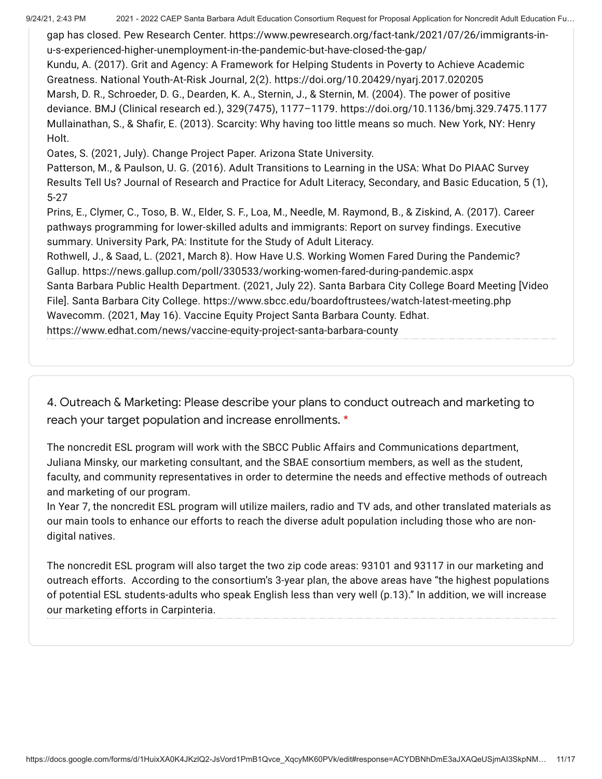9/24/21, 2:43 PM 2021 - 2022 CAEP Santa Barbara Adult Education Consortium Request for Proposal Application for Noncredit Adult Education Fu...

gap has closed. Pew Research Center. https://www.pewresearch.org/fact-tank/2021/07/26/immigrants-inu-s-experienced-higher-unemployment-in-the-pandemic-but-have-closed-the-gap/ Kundu, A. (2017). Grit and Agency: A Framework for Helping Students in Poverty to Achieve Academic Greatness. National Youth-At-Risk Journal, 2(2). https://doi.org/10.20429/nyarj.2017.020205 Marsh, D. R., Schroeder, D. G., Dearden, K. A., Sternin, J., & Sternin, M. (2004). The power of positive deviance. BMJ (Clinical research ed.), 329(7475), 1177–1179. https://doi.org/10.1136/bmj.329.7475.1177 Mullainathan, S., & Shafir, E. (2013). Scarcity: Why having too little means so much. New York, NY: Henry Holt. Oates, S. (2021, July). Change Project Paper. Arizona State University.

Patterson, M., & Paulson, U. G. (2016). Adult Transitions to Learning in the USA: What Do PIAAC Survey Results Tell Us? Journal of Research and Practice for Adult Literacy, Secondary, and Basic Education, 5 (1), 5-27

Prins, E., Clymer, C., Toso, B. W., Elder, S. F., Loa, M., Needle, M. Raymond, B., & Ziskind, A. (2017). Career pathways programming for lower-skilled adults and immigrants: Report on survey findings. Executive summary. University Park, PA: Institute for the Study of Adult Literacy.

Rothwell, J., & Saad, L. (2021, March 8). How Have U.S. Working Women Fared During the Pandemic? Gallup. https://news.gallup.com/poll/330533/working-women-fared-during-pandemic.aspx

Santa Barbara Public Health Department. (2021, July 22). Santa Barbara City College Board Meeting [Video File]. Santa Barbara City College. https://www.sbcc.edu/boardoftrustees/watch-latest-meeting.php Wavecomm. (2021, May 16). Vaccine Equity Project Santa Barbara County. Edhat.

https://www.edhat.com/news/vaccine-equity-project-santa-barbara-county

4. Outreach & Marketing: Please describe your plans to conduct outreach and marketing to reach your target population and increase enrollments. \*

The noncredit ESL program will work with the SBCC Public Affairs and Communications department, Juliana Minsky, our marketing consultant, and the SBAE consortium members, as well as the student, faculty, and community representatives in order to determine the needs and effective methods of outreach and marketing of our program.

In Year 7, the noncredit ESL program will utilize mailers, radio and TV ads, and other translated materials as our main tools to enhance our efforts to reach the diverse adult population including those who are nondigital natives.

The noncredit ESL program will also target the two zip code areas: 93101 and 93117 in our marketing and outreach efforts. According to the consortium's 3-year plan, the above areas have "the highest populations of potential ESL students-adults who speak English less than very well (p.13)." In addition, we will increase our marketing efforts in Carpinteria.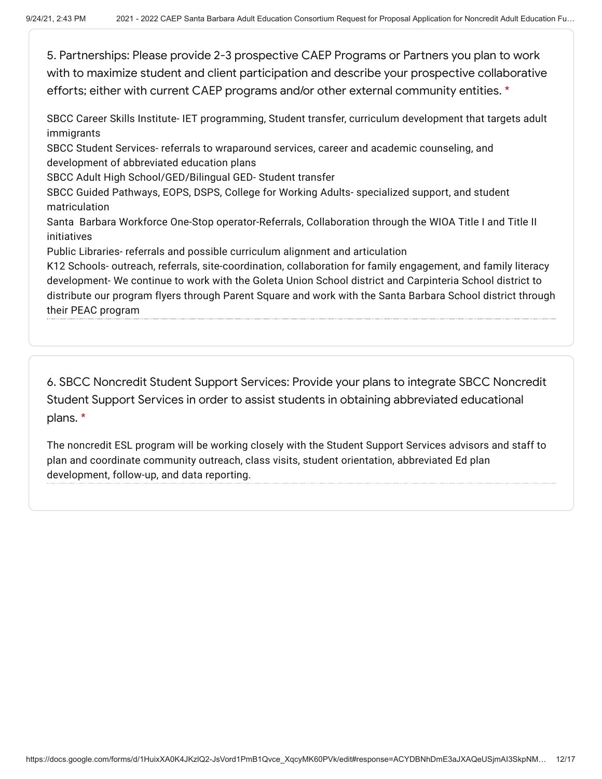5. Partnerships: Please provide 2-3 prospective CAEP Programs or Partners you plan to work with to maximize student and client participation and describe your prospective collaborative efforts; either with current CAEP programs and/or other external community entities. \*

SBCC Career Skills Institute- IET programming, Student transfer, curriculum development that targets adult immigrants

SBCC Student Services- referrals to wraparound services, career and academic counseling, and development of abbreviated education plans

SBCC Adult High School/GED/Bilingual GED- Student transfer

SBCC Guided Pathways, EOPS, DSPS, College for Working Adults- specialized support, and student matriculation

Santa Barbara Workforce One-Stop operator-Referrals, Collaboration through the WIOA Title I and Title II initiatives

Public Libraries- referrals and possible curriculum alignment and articulation

K12 Schools- outreach, referrals, site-coordination, collaboration for family engagement, and family literacy development- We continue to work with the Goleta Union School district and Carpinteria School district to distribute our program flyers through Parent Square and work with the Santa Barbara School district through their PEAC program

6. SBCC Noncredit Student Support Services: Provide your plans to integrate SBCC Noncredit Student Support Services in order to assist students in obtaining abbreviated educational plans. \*

The noncredit ESL program will be working closely with the Student Support Services advisors and staff to plan and coordinate community outreach, class visits, student orientation, abbreviated Ed plan development, follow-up, and data reporting.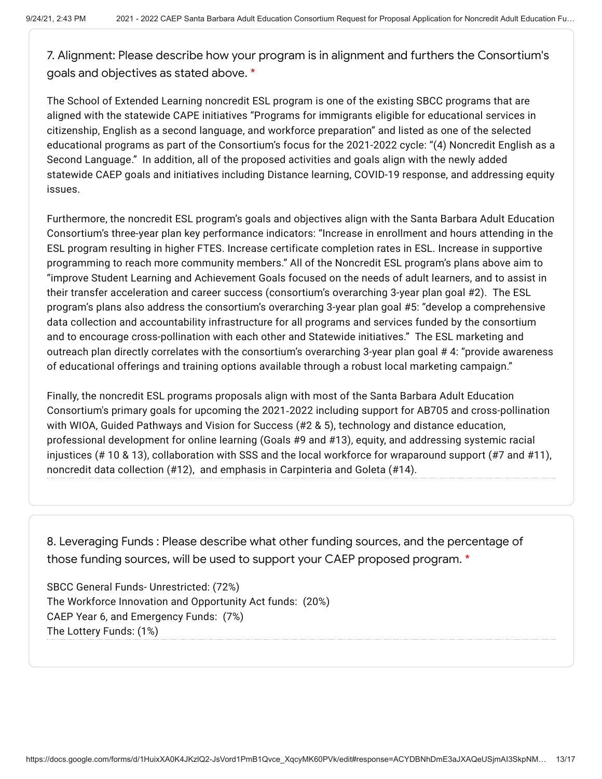7. Alignment: Please describe how your program is in alignment and furthers the Consortium's goals and objectives as stated above. \*

The School of Extended Learning noncredit ESL program is one of the existing SBCC programs that are aligned with the statewide CAPE initiatives "Programs for immigrants eligible for educational services in citizenship, English as a second language, and workforce preparation" and listed as one of the selected educational programs as part of the Consortium's focus for the 2021-2022 cycle: "(4) Noncredit English as a Second Language." In addition, all of the proposed activities and goals align with the newly added statewide CAEP goals and initiatives including Distance learning, COVID-19 response, and addressing equity issues.

Furthermore, the noncredit ESL program's goals and objectives align with the Santa Barbara Adult Education Consortium's three-year plan key performance indicators: "Increase in enrollment and hours attending in the ESL program resulting in higher FTES. Increase certificate completion rates in ESL. Increase in supportive programming to reach more community members." All of the Noncredit ESL program's plans above aim to "improve Student Learning and Achievement Goals focused on the needs of adult learners, and to assist in their transfer acceleration and career success (consortium's overarching 3-year plan goal #2). The ESL program's plans also address the consortium's overarching 3-year plan goal #5: "develop a comprehensive data collection and accountability infrastructure for all programs and services funded by the consortium and to encourage cross-pollination with each other and Statewide initiatives." The ESL marketing and outreach plan directly correlates with the consortium's overarching 3-year plan goal # 4: "provide awareness of educational offerings and training options available through a robust local marketing campaign."

Finally, the noncredit ESL programs proposals align with most of the Santa Barbara Adult Education Consortium's primary goals for upcoming the 2021‐2022 including support for AB705 and cross-pollination with WIOA, Guided Pathways and Vision for Success (#2 & 5), technology and distance education, professional development for online learning (Goals #9 and #13), equity, and addressing systemic racial injustices (# 10 & 13), collaboration with SSS and the local workforce for wraparound support (#7 and #11), noncredit data collection (#12), and emphasis in Carpinteria and Goleta (#14).

8. Leveraging Funds : Please describe what other funding sources, and the percentage of those funding sources, will be used to support your CAEP proposed program. \*

SBCC General Funds- Unrestricted: (72%) The Workforce Innovation and Opportunity Act funds: (20%) CAEP Year 6, and Emergency Funds: (7%) The Lottery Funds: (1%)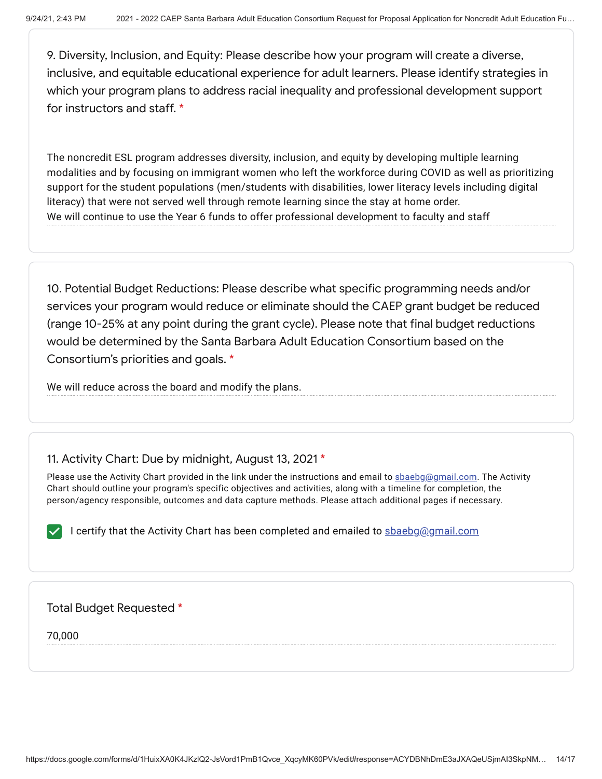9. Diversity, Inclusion, and Equity: Please describe how your program will create a diverse, inclusive, and equitable educational experience for adult learners. Please identify strategies in which your program plans to address racial inequality and professional development support for instructors and staff. \*

The noncredit ESL program addresses diversity, inclusion, and equity by developing multiple learning modalities and by focusing on immigrant women who left the workforce during COVID as well as prioritizing support for the student populations (men/students with disabilities, lower literacy levels including digital literacy) that were not served well through remote learning since the stay at home order. We will continue to use the Year 6 funds to offer professional development to faculty and staff

10. Potential Budget Reductions: Please describe what specific programming needs and/or services your program would reduce or eliminate should the CAEP grant budget be reduced (range 10-25% at any point during the grant cycle). Please note that final budget reductions would be determined by the Santa Barbara Adult Education Consortium based on the Consortium's priorities and goals. \*

We will reduce across the board and modify the plans.

# 11. Activity Chart: Due by midnight, August 13, 2021 \*

Please use the Activity Chart provided in the link under the instructions and email to sbaebg@gmail.com. The Activity Chart should outline your program's specific objectives and activities, along with a timeline for completion, the person/agency responsible, outcomes and data capture methods. Please attach additional pages if necessary.

I certify that the Activity Chart has been completed and emailed to sbaebg@gmail.com

## Total Budget Requested \*

70,000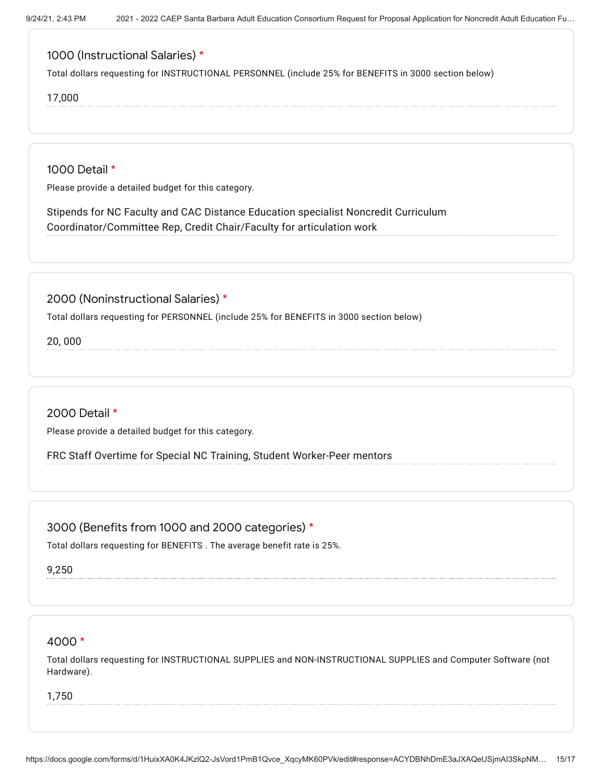# 1000 (Instructional Salaries) \*

Total dollars requesting for INSTRUCTIONAL PERSONNEL (include 25% for BENEFITS in 3000 section below)

#### 17,000

1000 Detail \*

Please provide a detailed budget for this category.

Stipends for NC Faculty and CAC Distance Education specialist Noncredit Curriculum Coordinator/Committee Rep, Credit Chair/Faculty for articulation work

2000 (Noninstructional Salaries) \*

Total dollars requesting for PERSONNEL (include 25% for BENEFITS in 3000 section below)

20, 000

2000 Detail \*

Please provide a detailed budget for this category.

FRC Staff Overtime for Special NC Training, Student Worker-Peer mentors

## 3000 (Benefits from 1000 and 2000 categories) \*

Total dollars requesting for BENEFITS . The average benefit rate is 25%.

9,250

## 4000 \*

Total dollars requesting for INSTRUCTIONAL SUPPLIES and NON-INSTRUCTIONAL SUPPLIES and Computer Software (not Hardware).

1,750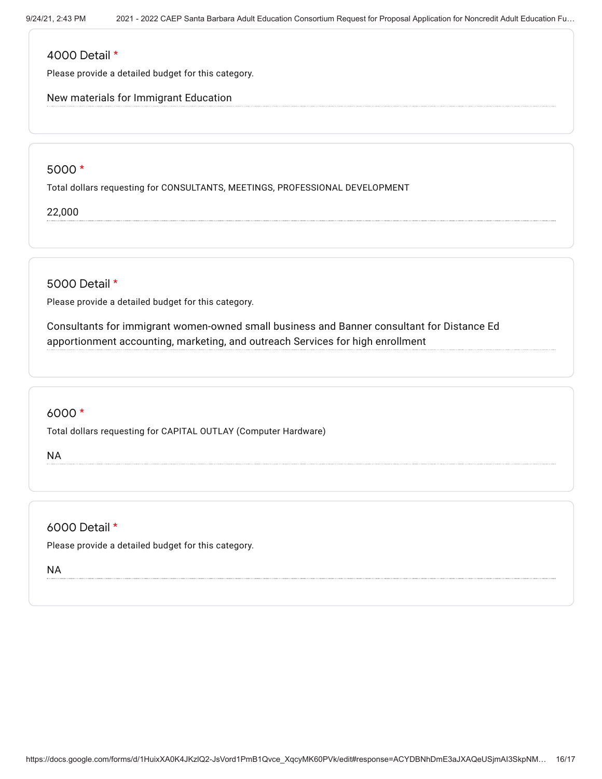### 4000 Detail \*

Please provide a detailed budget for this category.

New materials for Immigrant Education

### 5000 \*

Total dollars requesting for CONSULTANTS, MEETINGS, PROFESSIONAL DEVELOPMENT

22,000

5000 Detail \*

Please provide a detailed budget for this category.

Consultants for immigrant women-owned small business and Banner consultant for Distance Ed apportionment accounting, marketing, and outreach Services for high enrollment

# 6000 \*

Total dollars requesting for CAPITAL OUTLAY (Computer Hardware)

NA

6000 Detail \*

Please provide a detailed budget for this category.

NA